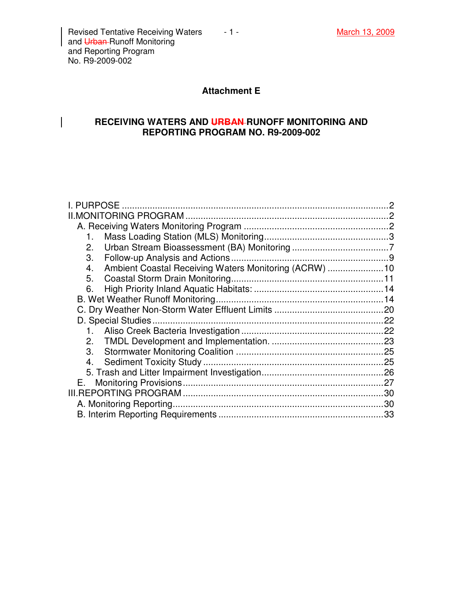$\overline{\phantom{a}}$ 

# **Attachment E**

### **RECEIVING WATERS AND URBAN RUNOFF MONITORING AND REPORTING PROGRAM NO. R9-2009-002**

| I. PURPOSE                                                   |    |
|--------------------------------------------------------------|----|
|                                                              |    |
|                                                              |    |
| 1.                                                           |    |
| 2.                                                           |    |
| 3.                                                           |    |
| Ambient Coastal Receiving Waters Monitoring (ACRW)  10<br>4. |    |
| 5.                                                           |    |
| 6.                                                           |    |
|                                                              |    |
|                                                              |    |
|                                                              |    |
|                                                              |    |
| 2.                                                           |    |
| 3.                                                           |    |
| 4.                                                           |    |
|                                                              |    |
|                                                              |    |
|                                                              |    |
|                                                              | 30 |
|                                                              |    |
|                                                              |    |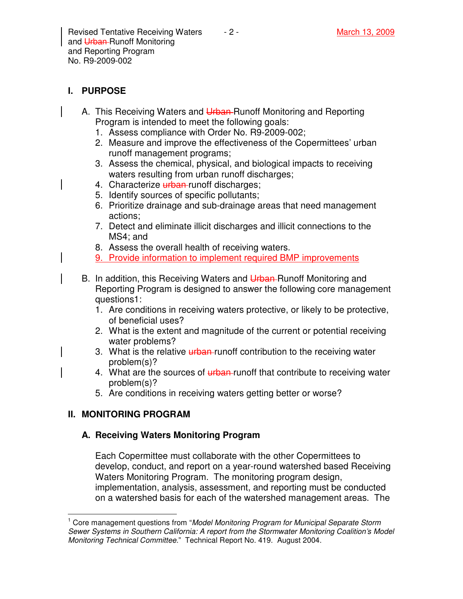# **I. PURPOSE**

- A. This Receiving Waters and Urban-Runoff Monitoring and Reporting Program is intended to meet the following goals:
	- 1. Assess compliance with Order No. R9-2009-002;
	- 2. Measure and improve the effectiveness of the Copermittees' urban runoff management programs;
	- 3. Assess the chemical, physical, and biological impacts to receiving waters resulting from urban runoff discharges;
	- 4. Characterize *urban* runoff discharges;
	- 5. Identify sources of specific pollutants;
	- 6. Prioritize drainage and sub-drainage areas that need management actions;
	- 7. Detect and eliminate illicit discharges and illicit connections to the MS4; and
	- 8. Assess the overall health of receiving waters.
	- 9. Provide information to implement required BMP improvements
- B. In addition, this Receiving Waters and Urban-Runoff Monitoring and Reporting Program is designed to answer the following core management questions1:
	- 1. Are conditions in receiving waters protective, or likely to be protective, of beneficial uses?
	- 2. What is the extent and magnitude of the current or potential receiving water problems?
	- 3. What is the relative urban-runoff contribution to the receiving water problem(s)?
	- 4. What are the sources of urban-runoff that contribute to receiving water problem(s)?
	- 5. Are conditions in receiving waters getting better or worse?

# **II. MONITORING PROGRAM**

# **A. Receiving Waters Monitoring Program**

Each Copermittee must collaborate with the other Copermittees to develop, conduct, and report on a year-round watershed based Receiving Waters Monitoring Program. The monitoring program design, implementation, analysis, assessment, and reporting must be conducted on a watershed basis for each of the watershed management areas. The

 $\overline{1}$ <sup>1</sup> Core management questions from "Model Monitoring Program for Municipal Separate Storm Sewer Systems in Southern California: A report from the Stormwater Monitoring Coalition's Model Monitoring Technical Committee." Technical Report No. 419. August 2004.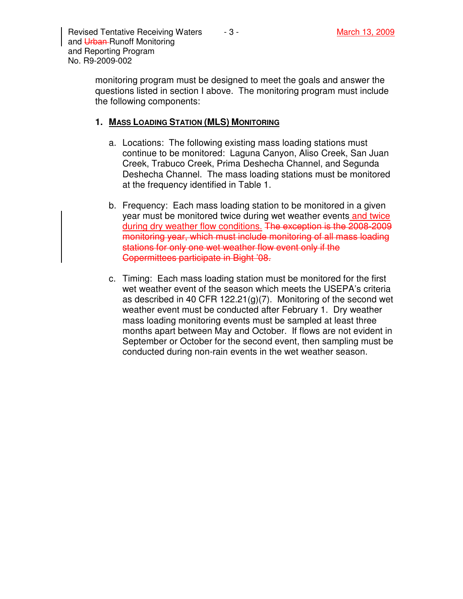monitoring program must be designed to meet the goals and answer the questions listed in section I above. The monitoring program must include the following components:

#### **1. MASS LOADING STATION (MLS) MONITORING**

- a. Locations: The following existing mass loading stations must continue to be monitored: Laguna Canyon, Aliso Creek, San Juan Creek, Trabuco Creek, Prima Deshecha Channel, and Segunda Deshecha Channel. The mass loading stations must be monitored at the frequency identified in Table 1.
- b. Frequency: Each mass loading station to be monitored in a given year must be monitored twice during wet weather events and twice during dry weather flow conditions. The exception is the 2008-2009 monitoring year, which must include monitoring of all mass loading stations for only one wet weather flow event only if the Copermittees participate in Bight '08.
- c. Timing: Each mass loading station must be monitored for the first wet weather event of the season which meets the USEPA's criteria as described in 40 CFR 122.21(g)(7). Monitoring of the second wet weather event must be conducted after February 1. Dry weather mass loading monitoring events must be sampled at least three months apart between May and October. If flows are not evident in September or October for the second event, then sampling must be conducted during non-rain events in the wet weather season.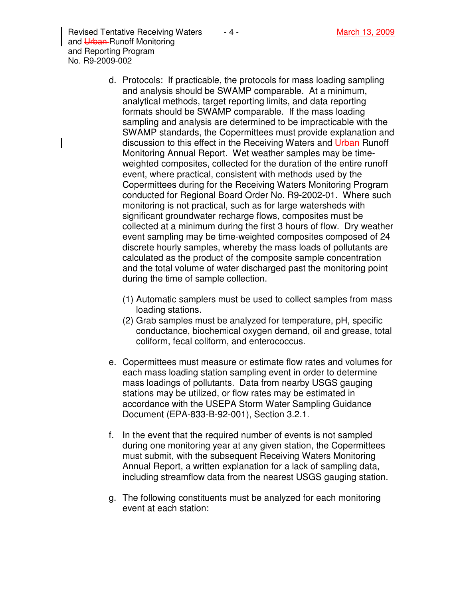Revised Tentative Receiving Waters  $\begin{array}{ccc} -4 & - & \end{array}$  March 13, 2009 and Urban-Runoff Monitoring and Reporting Program No. R9-2009-002

- d. Protocols: If practicable, the protocols for mass loading sampling and analysis should be SWAMP comparable. At a minimum, analytical methods, target reporting limits, and data reporting formats should be SWAMP comparable. If the mass loading sampling and analysis are determined to be impracticable with the SWAMP standards, the Copermittees must provide explanation and discussion to this effect in the Receiving Waters and Urban-Runoff Monitoring Annual Report. Wet weather samples may be timeweighted composites, collected for the duration of the entire runoff event, where practical, consistent with methods used by the Copermittees during for the Receiving Waters Monitoring Program conducted for Regional Board Order No. R9-2002-01. Where such monitoring is not practical, such as for large watersheds with significant groundwater recharge flows, composites must be collected at a minimum during the first 3 hours of flow. Dry weather event sampling may be time-weighted composites composed of 24 discrete hourly samples, whereby the mass loads of pollutants are calculated as the product of the composite sample concentration and the total volume of water discharged past the monitoring point during the time of sample collection.
	- (1) Automatic samplers must be used to collect samples from mass loading stations.
	- (2) Grab samples must be analyzed for temperature, pH, specific conductance, biochemical oxygen demand, oil and grease, total coliform, fecal coliform, and enterococcus.
- e. Copermittees must measure or estimate flow rates and volumes for each mass loading station sampling event in order to determine mass loadings of pollutants. Data from nearby USGS gauging stations may be utilized, or flow rates may be estimated in accordance with the USEPA Storm Water Sampling Guidance Document (EPA-833-B-92-001), Section 3.2.1.
- f. In the event that the required number of events is not sampled during one monitoring year at any given station, the Copermittees must submit, with the subsequent Receiving Waters Monitoring Annual Report, a written explanation for a lack of sampling data, including streamflow data from the nearest USGS gauging station.
- g. The following constituents must be analyzed for each monitoring event at each station: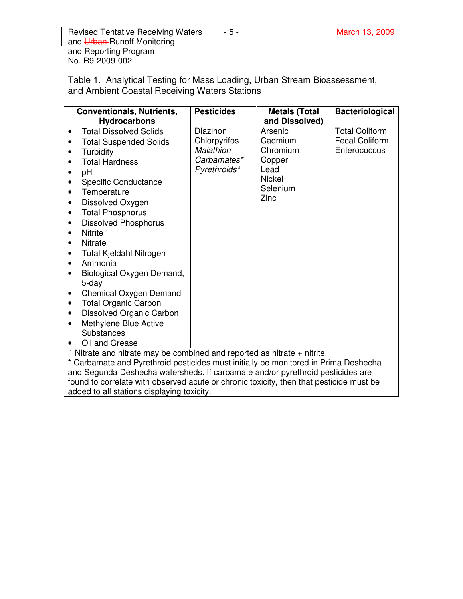Revised Tentative Receiving Waters 4.5 - And March 13, 2009 and Urban-Runoff Monitoring and Reporting Program No. R9-2009-002

Table 1. Analytical Testing for Mass Loading, Urban Stream Bioassessment, and Ambient Coastal Receiving Waters Stations

| <b>Conventionals, Nutrients,</b> |                                                                                     | <b>Pesticides</b> | <b>Metals (Total</b> | <b>Bacteriological</b> |
|----------------------------------|-------------------------------------------------------------------------------------|-------------------|----------------------|------------------------|
|                                  | <b>Hydrocarbons</b>                                                                 |                   | and Dissolved)       |                        |
| ٠                                | <b>Total Dissolved Solids</b>                                                       | Diazinon          | Arsenic              | <b>Total Coliform</b>  |
|                                  | <b>Total Suspended Solids</b>                                                       | Chlorpyrifos      | Cadmium              | <b>Fecal Coliform</b>  |
| ٠                                | Turbidity                                                                           | Malathion         | Chromium             | Enterococcus           |
|                                  | <b>Total Hardness</b>                                                               | Carbamates*       | Copper               |                        |
|                                  | pH                                                                                  | Pyrethroids*      | Lead                 |                        |
|                                  | Specific Conductance                                                                |                   | <b>Nickel</b>        |                        |
|                                  | Temperature                                                                         |                   | Selenium             |                        |
|                                  | Dissolved Oxygen                                                                    |                   | Zinc                 |                        |
|                                  | <b>Total Phosphorus</b>                                                             |                   |                      |                        |
|                                  | <b>Dissolved Phosphorus</b>                                                         |                   |                      |                        |
|                                  | Nitrite <sup>*</sup>                                                                |                   |                      |                        |
|                                  | Nitrate <sup>*</sup>                                                                |                   |                      |                        |
|                                  | Total Kjeldahl Nitrogen                                                             |                   |                      |                        |
|                                  | Ammonia                                                                             |                   |                      |                        |
|                                  | Biological Oxygen Demand,                                                           |                   |                      |                        |
|                                  | 5-day                                                                               |                   |                      |                        |
| ٠                                | <b>Chemical Oxygen Demand</b>                                                       |                   |                      |                        |
| $\bullet$                        | <b>Total Organic Carbon</b>                                                         |                   |                      |                        |
| $\bullet$                        | <b>Dissolved Organic Carbon</b>                                                     |                   |                      |                        |
| ٠                                | Methylene Blue Active                                                               |                   |                      |                        |
|                                  | <b>Substances</b>                                                                   |                   |                      |                        |
|                                  | Oil and Grease                                                                      |                   |                      |                        |
|                                  | Nitrate and nitrate may be combined and reported as nitrate + nitrite.              |                   |                      |                        |
|                                  | * Carbomete and Durethroid posticides must initially be menitored in Prime Deebeebe |                   |                      |                        |

Carbamate and Pyrethroid pesticides must initially be monitored in Prima Deshecha and Segunda Deshecha watersheds. If carbamate and/or pyrethroid pesticides are found to correlate with observed acute or chronic toxicity, then that pesticide must be added to all stations displaying toxicity.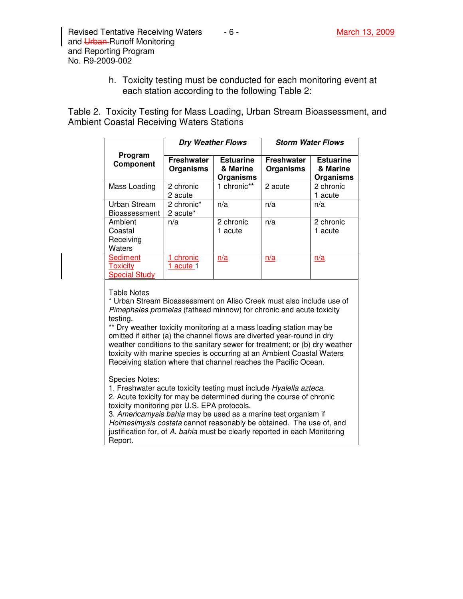Revised Tentative Receiving Waters  $\overline{a}$  - 6 - March 13, 2009 and Urban-Runoff Monitoring and Reporting Program No. R9-2009-002

> h. Toxicity testing must be conducted for each monitoring event at each station according to the following Table 2:

Table 2. Toxicity Testing for Mass Loading, Urban Stream Bioassessment, and Ambient Coastal Receiving Waters Stations

|                                                     | <b>Dry Weather Flows</b>              |                                           | <b>Storm Water Flows</b>              |                                           |
|-----------------------------------------------------|---------------------------------------|-------------------------------------------|---------------------------------------|-------------------------------------------|
| Program<br>Component                                | <b>Freshwater</b><br><b>Organisms</b> | <b>Estuarine</b><br>& Marine<br>Organisms | <b>Freshwater</b><br><b>Organisms</b> | <b>Estuarine</b><br>& Marine<br>Organisms |
| Mass Loading                                        | 2 chronic<br>2 acute                  | 1 chronic**                               | 2 acute                               | 2 chronic<br>1 acute                      |
| Urban Stream<br><b>Bioassessment</b>                | 2 chronic*<br>2 acute <sup>*</sup>    | n/a                                       | n/a                                   | n/a                                       |
| Ambient<br>Coastal<br>Receiving<br>Waters           | n/a                                   | 2 chronic<br>1 acute                      | n/a                                   | 2 chronic<br>1 acute                      |
| Sediment<br><b>Toxicity</b><br><b>Special Study</b> | chronic<br><u>1 acute</u> 1           | n/a                                       | <u>n/a</u>                            | n/a                                       |

#### Table Notes

\* Urban Stream Bioassessment on Aliso Creek must also include use of Pimephales promelas (fathead minnow) for chronic and acute toxicity testing.

\*\* Dry weather toxicity monitoring at a mass loading station may be omitted if either (a) the channel flows are diverted year-round in dry weather conditions to the sanitary sewer for treatment; or (b) dry weather toxicity with marine species is occurring at an Ambient Coastal Waters Receiving station where that channel reaches the Pacific Ocean.

Species Notes:

1. Freshwater acute toxicity testing must include Hyalella azteca.

2. Acute toxicity for may be determined during the course of chronic toxicity monitoring per U.S. EPA protocols.

3. Americamysis bahia may be used as a marine test organism if Holmesimysis costata cannot reasonably be obtained. The use of, and justification for, of A. bahia must be clearly reported in each Monitoring Report.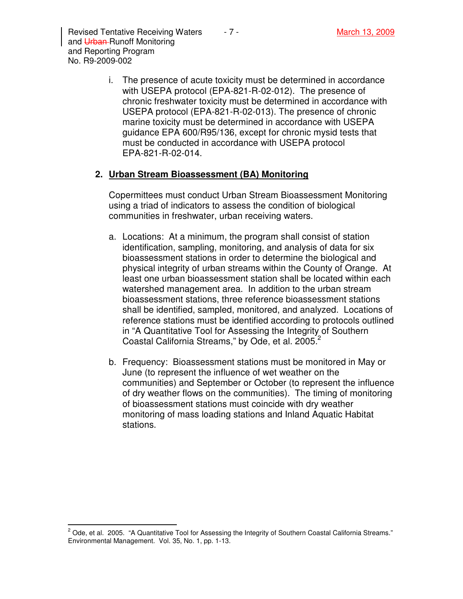i. The presence of acute toxicity must be determined in accordance with USEPA protocol (EPA-821-R-02-012). The presence of chronic freshwater toxicity must be determined in accordance with USEPA protocol (EPA-821-R-02-013). The presence of chronic marine toxicity must be determined in accordance with USEPA guidance EPA 600/R95/136, except for chronic mysid tests that must be conducted in accordance with USEPA protocol EPA-821-R-02-014.

### **2. Urban Stream Bioassessment (BA) Monitoring**

Copermittees must conduct Urban Stream Bioassessment Monitoring using a triad of indicators to assess the condition of biological communities in freshwater, urban receiving waters.

- a. Locations: At a minimum, the program shall consist of station identification, sampling, monitoring, and analysis of data for six bioassessment stations in order to determine the biological and physical integrity of urban streams within the County of Orange. At least one urban bioassessment station shall be located within each watershed management area. In addition to the urban stream bioassessment stations, three reference bioassessment stations shall be identified, sampled, monitored, and analyzed. Locations of reference stations must be identified according to protocols outlined in "A Quantitative Tool for Assessing the Integrity of Southern Coastal California Streams," by Ode, et al. 2005. $2$
- b. Frequency: Bioassessment stations must be monitored in May or June (to represent the influence of wet weather on the communities) and September or October (to represent the influence of dry weather flows on the communities). The timing of monitoring of bioassessment stations must coincide with dry weather monitoring of mass loading stations and Inland Aquatic Habitat stations.

 2 Ode, et al. 2005. "A Quantitative Tool for Assessing the Integrity of Southern Coastal California Streams." Environmental Management. Vol. 35, No. 1, pp. 1-13.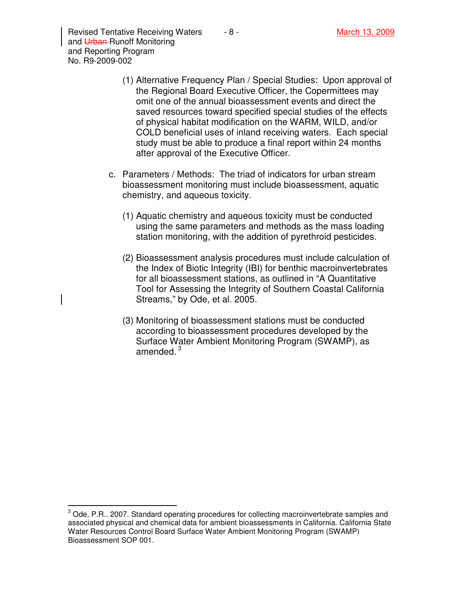Revised Tentative Receiving Waters  $\overline{\phantom{a}}$  - 8 -  $\overline{\phantom{a}}$  March 13, 2009 and Urban-Runoff Monitoring and Reporting Program No. R9-2009-002

- (1) Alternative Frequency Plan / Special Studies: Upon approval of the Regional Board Executive Officer, the Copermittees may omit one of the annual bioassessment events and direct the saved resources toward specified special studies of the effects of physical habitat modification on the WARM, WILD, and/or COLD beneficial uses of inland receiving waters. Each special study must be able to produce a final report within 24 months after approval of the Executive Officer.
- c. Parameters / Methods: The triad of indicators for urban stream bioassessment monitoring must include bioassessment, aquatic chemistry, and aqueous toxicity.
	- (1) Aquatic chemistry and aqueous toxicity must be conducted using the same parameters and methods as the mass loading station monitoring, with the addition of pyrethroid pesticides.
	- (2) Bioassessment analysis procedures must include calculation of the Index of Biotic Integrity (IBI) for benthic macroinvertebrates for all bioassessment stations, as outlined in "A Quantitative Tool for Assessing the Integrity of Southern Coastal California Streams," by Ode, et al. 2005.
	- (3) Monitoring of bioassessment stations must be conducted according to bioassessment procedures developed by the Surface Water Ambient Monitoring Program (SWAMP), as amended. $^3$

 3 Ode, P.R.. 2007. Standard operating procedures for collecting macroinvertebrate samples and associated physical and chemical data for ambient bioassessments in California. California State Water Resources Control Board Surface Water Ambient Monitoring Program (SWAMP) Bioassessment SOP 001.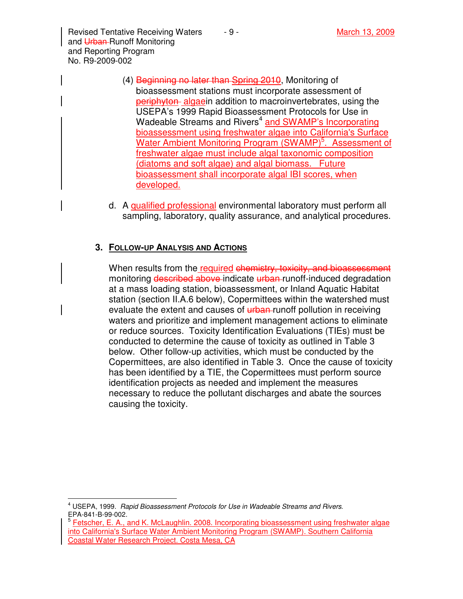Revised Tentative Receiving Waters  $-9 -$  March 13, 2009 and Urban-Runoff Monitoring and Reporting Program No. R9-2009-002

- (4) Beginning no later than Spring 2010, Monitoring of bioassessment stations must incorporate assessment of periphyton algaein addition to macroinvertebrates, using the USEPA's 1999 Rapid Bioassessment Protocols for Use in Wadeable Streams and Rivers<sup>4</sup> and SWAMP's Incorporating bioassessment using freshwater algae into California's Surface Water Ambient Monitoring Program (SWAMP)<sup>5</sup>. Assessment of freshwater algae must include algal taxonomic composition (diatoms and soft algae) and algal biomass. Future bioassessment shall incorporate algal IBI scores, when developed.
- d. A qualified professional environmental laboratory must perform all sampling, laboratory, quality assurance, and analytical procedures.

## **3. FOLLOW-UP ANALYSIS AND ACTIONS**

When results from the required chemistry, toxicity, and bioassessment monitoring described above indicate urban runoff-induced degradation at a mass loading station, bioassessment, or Inland Aquatic Habitat station (section II.A.6 below), Copermittees within the watershed must evaluate the extent and causes of **urban**-runoff pollution in receiving waters and prioritize and implement management actions to eliminate or reduce sources. Toxicity Identification Evaluations (TIEs) must be conducted to determine the cause of toxicity as outlined in Table 3 below. Other follow-up activities, which must be conducted by the Copermittees, are also identified in Table 3. Once the cause of toxicity has been identified by a TIE, the Copermittees must perform source identification projects as needed and implement the measures necessary to reduce the pollutant discharges and abate the sources causing the toxicity.

 $\overline{\phantom{a}}$ <sup>4</sup> USEPA, 1999. Rapid Bioassessment Protocols for Use in Wadeable Streams and Rivers. EPA-841-B-99-002.

<sup>&</sup>lt;sup>5</sup> Fetscher, E. A., and K. McLaughlin. 2008. Incorporating bioassessment using freshwater algae into California's Surface Water Ambient Monitoring Program (SWAMP). Southern California Coastal Water Research Project. Costa Mesa, CA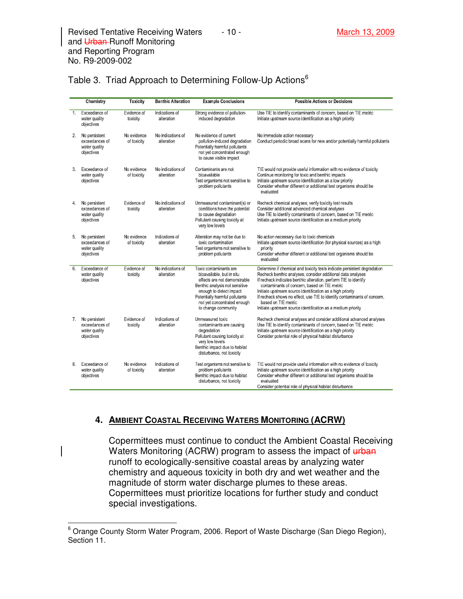|                | Chemistry                                                      | <b>Toxicity</b>            | <b>Benthic Alteration</b>       | <b>Example Conclusions</b>                                                                                                                                                                                                               | <b>Possible Actions or Decisions</b>                                                                                                                                                                                                                                                                                                                                                                                                                                                         |
|----------------|----------------------------------------------------------------|----------------------------|---------------------------------|------------------------------------------------------------------------------------------------------------------------------------------------------------------------------------------------------------------------------------------|----------------------------------------------------------------------------------------------------------------------------------------------------------------------------------------------------------------------------------------------------------------------------------------------------------------------------------------------------------------------------------------------------------------------------------------------------------------------------------------------|
| 1 <sub>1</sub> | Exceedance of<br>water quality<br>objectives                   | Evidence of<br>toxicity    | Indications of<br>alteration    | Strong evidence of pollution-<br>induced degradation                                                                                                                                                                                     | Use TIE to identify contaminants of concern, based on TIE metric<br>Initiate upstream source identification as a high priority                                                                                                                                                                                                                                                                                                                                                               |
| 2.             | No persistent<br>exceedances of<br>water quality<br>objectives | No evidence<br>of toxicity | No indications of<br>alteration | No evidence of current<br>pollution-induced degradation<br>Potentially harmful pollutants<br>not yet concentrated enough<br>to cause visible impact                                                                                      | No immediate action necessary<br>Conduct periodic broad scans for new and/or potentially harmful pollutants                                                                                                                                                                                                                                                                                                                                                                                  |
| $\mathcal{R}$  | Exceedance of<br>water quality<br>objectives                   | No evidence<br>of toxicity | No indications of<br>alteration | Contaminants are not<br>bioavailable<br>Test organisms not sensitive to<br>problem pollutants                                                                                                                                            | TIE would not provide useful information with no evidence of toxicity<br>Continue monitoring for toxic and benthic impacts<br>Initiate upstream source identification as a low priority<br>Consider whether different or additional test organisms should be<br>evaluated                                                                                                                                                                                                                    |
| 4.             | No persistent<br>exceedances of<br>water quality<br>objectives | Evidence of<br>toxicity    | No indications of<br>alteration | Unmeasured contaminant(s) or<br>conditions have the potential<br>to cause degradation<br>Pollutant causing toxicity at<br>very low levels                                                                                                | Recheck chemical analyses; verify toxicity test results<br>Consider additional advanced chemical analyses<br>Use TIE to identify contaminants of concern, based on TIE metric<br>Initiate upstream source identification as a medium priority                                                                                                                                                                                                                                                |
| 5.             | No persistent<br>exceedances of<br>water quality<br>objectives | No evidence<br>of toxicity | Indications of<br>alteration    | Alteration may not be due to<br>toxic contamination<br>Test organisms not sensitive to<br>problem pollutants                                                                                                                             | No action necessary due to toxic chemicals<br>Initiate upstream source identification (for physical sources) as a high<br>priority<br>Consider whether different or additional test organisms should be<br>evaluated                                                                                                                                                                                                                                                                         |
| 6.             | Exceedance of<br>water quality<br>objectives                   | Fvidence of<br>toxicity    | No indications of<br>alteration | Toxic contaminants are<br>bioavailable, but in situ<br>effects are not demonstrable<br>Benthic analysis not sensitive<br>enough to detect impact<br>Potentially harmful pollutants<br>not yet concentrated enough<br>to change community | Determine if chemical and toxicity tests indicate persistent degradation<br>Recheck benthic analyses; consider additional data analyses<br>If recheck indicates benthic alteration, perform TIE to identify<br>contaminants of concern, based on TIE metric<br>Initiate upstream source identification as a high priority<br>If recheck shows no effect, use TIE to identify contaminants of concern,<br>based on TIE metric<br>Initiate upstream source identification as a medium priority |
| 7.             | No persistent<br>exceedances of<br>water quality<br>objectives | Evidence of<br>toxicity    | Indications of<br>alteration    | Unmeasured toxic<br>contaminants are causing<br>degradation<br>Pollutant causing toxicity at<br>very low levels<br>Benthic impact due to habitat<br>disturbance, not toxicity                                                            | Recheck chemical analyses and consider additional advanced analyses<br>Use TIE to identify contaminants of concern, based on TIE metric<br>Initiate upstream source identification as a high priority<br>Consider potential role of physical habitat disturbance                                                                                                                                                                                                                             |
| 8.             | Exceedance of<br>water quality<br>objectives                   | No evidence<br>of toxicity | Indications of<br>alteration    | Test organisms not sensitive to<br>problem pollutants<br>Benthic impact due to habitat<br>disturbance, not toxicity                                                                                                                      | TIE would not provide useful information with no evidence of toxicity<br>Initiate upstream source identification as a high priority<br>Consider whether different or additional test organisms should be<br>evaluated<br>Consider potential role of physical habitat disturbance                                                                                                                                                                                                             |

## Table 3. Triad Approach to Determining Follow-Up Actions<sup>6</sup>

## **4. AMBIENT COASTAL RECEIVING WATERS MONITORING (ACRW)**

Copermittees must continue to conduct the Ambient Coastal Receiving Waters Monitoring (ACRW) program to assess the impact of urban runoff to ecologically-sensitive coastal areas by analyzing water chemistry and aqueous toxicity in both dry and wet weather and the magnitude of storm water discharge plumes to these areas. Copermittees must prioritize locations for further study and conduct special investigations.

 6 Orange County Storm Water Program, 2006. Report of Waste Discharge (San Diego Region), Section 11.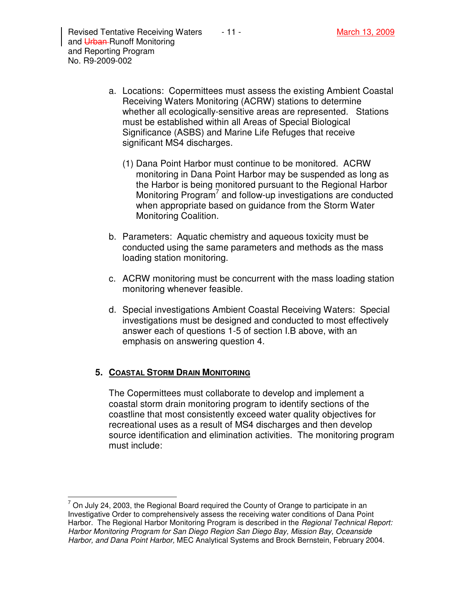- a. Locations: Copermittees must assess the existing Ambient Coastal Receiving Waters Monitoring (ACRW) stations to determine whether all ecologically-sensitive areas are represented. Stations must be established within all Areas of Special Biological Significance (ASBS) and Marine Life Refuges that receive significant MS4 discharges.
	- (1) Dana Point Harbor must continue to be monitored. ACRW monitoring in Dana Point Harbor may be suspended as long as the Harbor is being monitored pursuant to the Regional Harbor Monitoring Program<sup>7</sup> and follow-up investigations are conducted when appropriate based on guidance from the Storm Water Monitoring Coalition.
- b. Parameters: Aquatic chemistry and aqueous toxicity must be conducted using the same parameters and methods as the mass loading station monitoring.
- c. ACRW monitoring must be concurrent with the mass loading station monitoring whenever feasible.
- d. Special investigations Ambient Coastal Receiving Waters: Special investigations must be designed and conducted to most effectively answer each of questions 1-5 of section I.B above, with an emphasis on answering question 4.

#### **5. COASTAL STORM DRAIN MONITORING**

The Copermittees must collaborate to develop and implement a coastal storm drain monitoring program to identify sections of the coastline that most consistently exceed water quality objectives for recreational uses as a result of MS4 discharges and then develop source identification and elimination activities. The monitoring program must include:

 7 On July 24, 2003, the Regional Board required the County of Orange to participate in an Investigative Order to comprehensively assess the receiving water conditions of Dana Point Harbor. The Regional Harbor Monitoring Program is described in the *Regional Technical Report:* Harbor Monitoring Program for San Diego Region San Diego Bay, Mission Bay, Oceanside Harbor, and Dana Point Harbor, MEC Analytical Systems and Brock Bernstein, February 2004.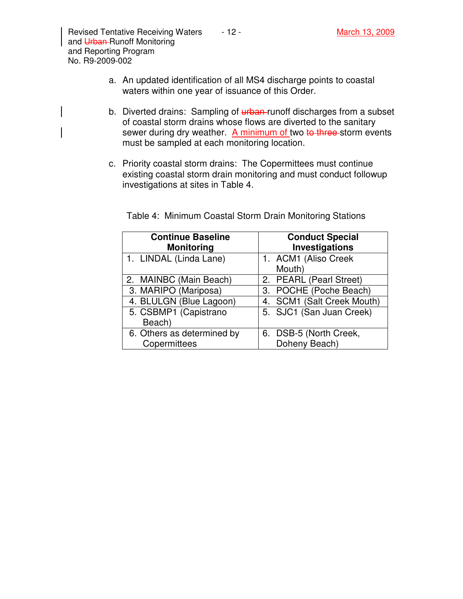- b. Diverted drains: Sampling of *urban*-runoff discharges from a subset of coastal storm drains whose flows are diverted to the sanitary sewer during dry weather. A minimum of two to three storm events must be sampled at each monitoring location.
- c. Priority coastal storm drains: The Copermittees must continue existing coastal storm drain monitoring and must conduct followup investigations at sites in Table 4.

| <b>Continue Baseline</b><br><b>Monitoring</b> | <b>Conduct Special</b><br>Investigations |
|-----------------------------------------------|------------------------------------------|
| 1. LINDAL (Linda Lane)                        | 1. ACM1 (Aliso Creek<br>Mouth)           |
| 2. MAINBC (Main Beach)                        | 2. PEARL (Pearl Street)                  |
| 3. MARIPO (Mariposa)                          | 3. POCHE (Poche Beach)                   |
| 4. BLULGN (Blue Lagoon)                       | 4. SCM1 (Salt Creek Mouth)               |
| 5. CSBMP1 (Capistrano<br>Beach)               | 5. SJC1 (San Juan Creek)                 |
| 6. Others as determined by<br>Copermittees    | 6. DSB-5 (North Creek,<br>Doheny Beach)  |

Table 4: Minimum Coastal Storm Drain Monitoring Stations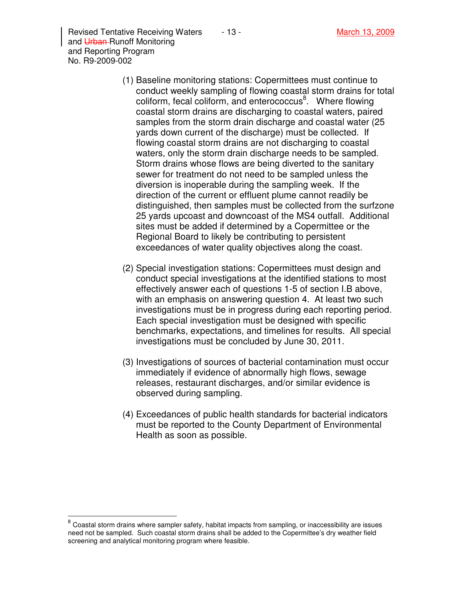Revised Tentative Receiving Waters  $\qquad 13 -$  March 13, 2009 and Urban-Runoff Monitoring and Reporting Program No. R9-2009-002

- (1) Baseline monitoring stations: Copermittees must continue to conduct weekly sampling of flowing coastal storm drains for total coliform, fecal coliform, and enterococcus<sup>8</sup>. Where flowing coastal storm drains are discharging to coastal waters, paired samples from the storm drain discharge and coastal water (25 yards down current of the discharge) must be collected. If flowing coastal storm drains are not discharging to coastal waters, only the storm drain discharge needs to be sampled. Storm drains whose flows are being diverted to the sanitary sewer for treatment do not need to be sampled unless the diversion is inoperable during the sampling week. If the direction of the current or effluent plume cannot readily be distinguished, then samples must be collected from the surfzone 25 yards upcoast and downcoast of the MS4 outfall. Additional sites must be added if determined by a Copermittee or the Regional Board to likely be contributing to persistent exceedances of water quality objectives along the coast.
- (2) Special investigation stations: Copermittees must design and conduct special investigations at the identified stations to most effectively answer each of questions 1-5 of section I.B above, with an emphasis on answering question 4. At least two such investigations must be in progress during each reporting period. Each special investigation must be designed with specific benchmarks, expectations, and timelines for results. All special investigations must be concluded by June 30, 2011.
- (3) Investigations of sources of bacterial contamination must occur immediately if evidence of abnormally high flows, sewage releases, restaurant discharges, and/or similar evidence is observed during sampling.
- (4) Exceedances of public health standards for bacterial indicators must be reported to the County Department of Environmental Health as soon as possible.

<sup>&</sup>lt;u>correstigace</u><br><sup>8</sup> Coastal storm drains where sampler safety, habitat impacts from sampling, or inaccessibility are issues need not be sampled. Such coastal storm drains shall be added to the Copermittee's dry weather field screening and analytical monitoring program where feasible.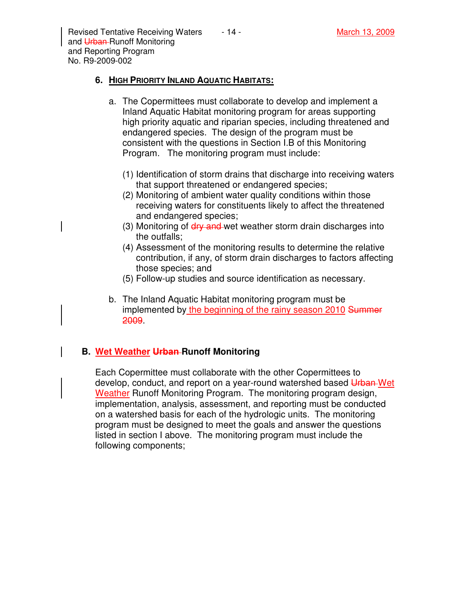Revised Tentative Receiving Waters  $\overline{a}$  - 14 - March 13, 2009 and Urban-Runoff Monitoring and Reporting Program No. R9-2009-002

### **6. HIGH PRIORITY INLAND AQUATIC HABITATS:**

- a. The Copermittees must collaborate to develop and implement a Inland Aquatic Habitat monitoring program for areas supporting high priority aquatic and riparian species, including threatened and endangered species. The design of the program must be consistent with the questions in Section I.B of this Monitoring Program. The monitoring program must include:
	- (1) Identification of storm drains that discharge into receiving waters that support threatened or endangered species;
	- (2) Monitoring of ambient water quality conditions within those receiving waters for constituents likely to affect the threatened and endangered species;
	- (3) Monitoring of dry and wet weather storm drain discharges into the outfalls;
	- (4) Assessment of the monitoring results to determine the relative contribution, if any, of storm drain discharges to factors affecting those species; and
	- (5) Follow-up studies and source identification as necessary.
- b. The Inland Aquatic Habitat monitoring program must be implemented by the beginning of the rainy season 2010 Summer 2009.

# **B. Wet Weather Urban Runoff Monitoring**

Each Copermittee must collaborate with the other Copermittees to develop, conduct, and report on a year-round watershed based Urban Wet Weather Runoff Monitoring Program. The monitoring program design, implementation, analysis, assessment, and reporting must be conducted on a watershed basis for each of the hydrologic units. The monitoring program must be designed to meet the goals and answer the questions listed in section I above. The monitoring program must include the following components;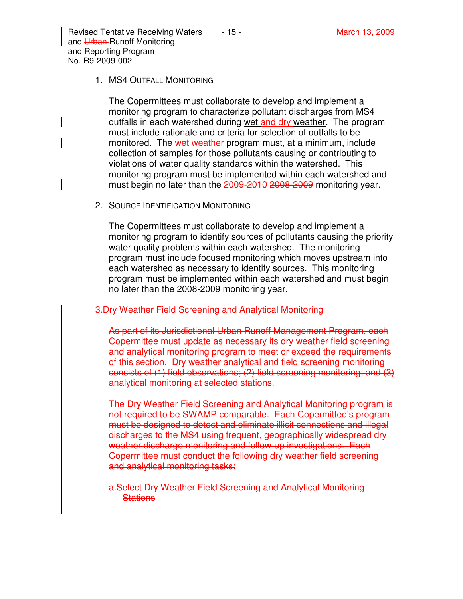Revised Tentative Receiving Waters  $\overline{a}$  - 15 - March 13, 2008 March 13, 2009 and Urban-Runoff Monitoring and Reporting Program No. R9-2009-002

#### 1. MS4 OUTFALL MONITORING

The Copermittees must collaborate to develop and implement a monitoring program to characterize pollutant discharges from MS4 outfalls in each watershed during wet and dry weather. The program must include rationale and criteria for selection of outfalls to be monitored. The wet weather program must, at a minimum, include collection of samples for those pollutants causing or contributing to violations of water quality standards within the watershed. This monitoring program must be implemented within each watershed and must begin no later than the 2009-2010 2008-2009 monitoring year.

2. SOURCE IDENTIFICATION MONITORING

The Copermittees must collaborate to develop and implement a monitoring program to identify sources of pollutants causing the priority water quality problems within each watershed. The monitoring program must include focused monitoring which moves upstream into each watershed as necessary to identify sources. This monitoring program must be implemented within each watershed and must begin no later than the 2008-2009 monitoring year.

3.Dry Weather Field Screening and Analytical Monitoring

As part of its Jurisdictional Urban Runoff Management Program, each Copermittee must update as necessary its dry weather field screening and analytical monitoring program to meet or exceed the requirements of this section. Dry weather analytical and field screening monitoring consists of (1) field observations; (2) field screening monitoring; and (3) analytical monitoring at selected stations.

The Dry Weather Field Screening and Analytical Monitoring program is not required to be SWAMP comparable. Each Copermittee's program must be designed to detect and eliminate illicit connections and illegal discharges to the MS4 using frequent, geographically widespread dry weather discharge monitoring and follow-up investigations. Each Copermittee must conduct the following dry weather field screening and analytical monitoring tasks:

a.Select Dry Weather Field Screening and Analytical Monitoring **Stations**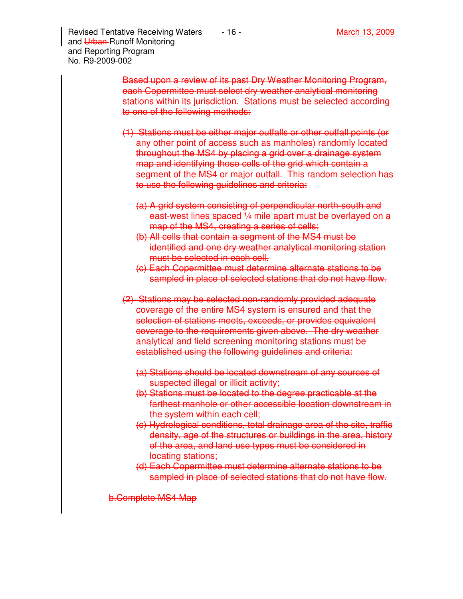Revised Tentative Receiving Waters  $\overline{\phantom{0}}$  - 16 - March 13, 2009 and Urban-Runoff Monitoring and Reporting Program No. R9-2009-002

- (1) Stations must be either major outfalls or other outfall points (or any other point of access such as manholes) randomly located throughout the MS4 by placing a grid over a drainage system map and identifying those cells of the grid which contain a segment of the MS4 or major outfall. This random selection has to use the following guidelines and criteria:
	- (a) A grid system consisting of perpendicular north-south and east-west lines spaced 1/4 mile apart must be overlayed on a map of the MS4, creating a series of cells;
	- (b) All cells that contain a segment of the MS4 must be identified and one dry weather analytical monitoring station must be selected in each cell.
	- (c) Each Copermittee must determine alternate stations to be sampled in place of selected stations that do not have flow.
- (2) Stations may be selected non-randomly provided adequate coverage of the entire MS4 system is ensured and that the selection of stations meets, exceeds, or provides equivalent coverage to the requirements given above. The dry weather analytical and field screening monitoring stations must be established using the following guidelines and criteria:
	- (a) Stations should be located downstream of any sources of suspected illegal or illicit activity;
	- (b) Stations must be located to the degree practicable at the farthest manhole or other accessible location downstream in the system within each cell;
	- (c) Hydrological conditions, total drainage area of the site, traffic density, age of the structures or buildings in the area, history of the area, and land use types must be considered in locating stations;
	- (d) Each Copermittee must determine alternate stations to be sampled in place of selected stations that do not have flow.

b.Complete MS4 Map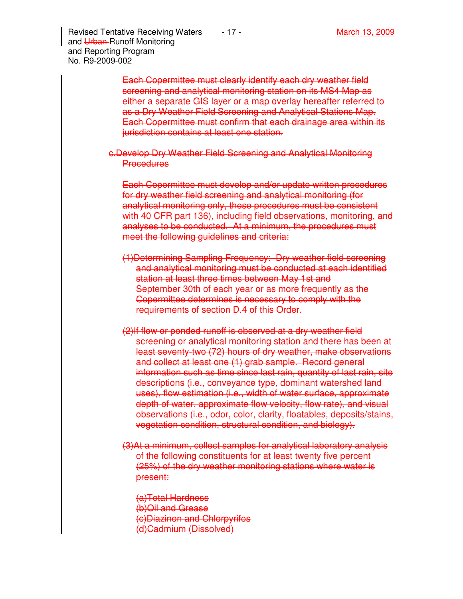Revised Tentative Receiving Waters  $\overline{\phantom{0}}$  - 17 - March 13, 2009 and Urban-Runoff Monitoring and Reporting Program No. R9-2009-002

> Each Copermittee must clearly identify each dry weather field screening and analytical monitoring station on its MS4 Map as either a separate GIS layer or a map overlay hereafter referred to as a Dry Weather Field Screening and Analytical Stations Map. Each Copermittee must confirm that each drainage area within its jurisdiction contains at least one station.

c.Develop Dry Weather Field Screening and Analytical Monitoring **Procedures** 

Each Copermittee must develop and/or update written procedures for dry weather field screening and analytical monitoring (for analytical monitoring only, these procedures must be consistent with 40 CFR part 136), including field observations, monitoring, and analyses to be conducted. At a minimum, the procedures must meet the following guidelines and criteria:

- (1)Determining Sampling Frequency: Dry weather field screening and analytical monitoring must be conducted at each identified station at least three times between May 1st and September 30th of each year or as more frequently as the Copermittee determines is necessary to comply with the requirements of section D.4 of this Order.
- (2)If flow or ponded runoff is observed at a dry weather field screening or analytical monitoring station and there has been at least seventy-two (72) hours of dry weather, make observations and collect at least one (1) grab sample. Record general information such as time since last rain, quantity of last rain, site descriptions (i.e., conveyance type, dominant watershed land uses), flow estimation (i.e., width of water surface, approximate depth of water, approximate flow velocity, flow rate), and visual observations (i.e., odor, color, clarity, floatables, deposits/stains, vegetation condition, structural condition, and biology).
- (3)At a minimum, collect samples for analytical laboratory analysis of the following constituents for at least twenty five percent (25%) of the dry weather monitoring stations where water is present:
	- (a)Total Hardness (b)Oil and Grease (c)Diazinon and Chlorpyrifos (d)Cadmium (Dissolved)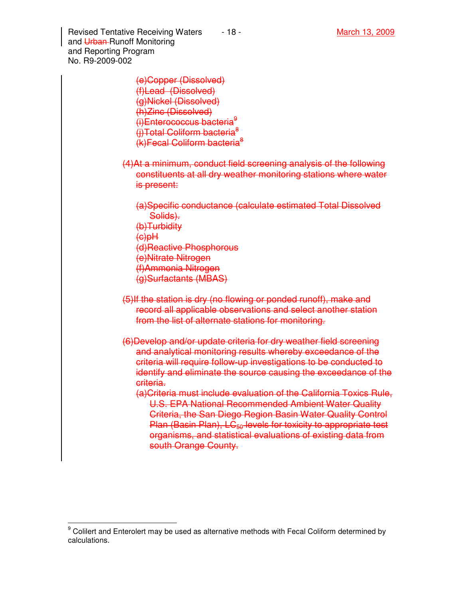Revised Tentative Receiving Waters  $\overline{\phantom{a}}$  - 18 - March 13, 2009 and Urban-Runoff Monitoring and Reporting Program No. R9-2009-002

> (e)Copper (Dissolved) (f)Lead (Dissolved) (g)Nickel (Dissolved) (h)Zinc (Dissolved) (i)Enterococcus bacteria<sup>9</sup> (i)Total Coliform bacteria<sup>8</sup> (k)Fecal Coliform bacteria<sup>8</sup>

- (4)At a minimum, conduct field screening analysis of the following constituents at all dry weather monitoring stations where water is present:
	- (a)Specific conductance (calculate estimated Total Dissolved Solids).
	- (b)Turbidity
	- $H<sub>Q</sub>(a)$

 $\overline{a}$ 

- (d)Reactive Phosphorous
- (e)Nitrate Nitrogen
- (f)Ammonia Nitrogen
- (g)Surfactants (MBAS)
- (5)If the station is dry (no flowing or ponded runoff), make and record all applicable observations and select another station from the list of alternate stations for monitoring.
- (6)Develop and/or update criteria for dry weather field screening and analytical monitoring results whereby exceedance of the criteria will require follow-up investigations to be conducted to identify and eliminate the source causing the exceedance of the criteria.
	- (a)Criteria must include evaluation of the California Toxics Rule, U.S. EPA National Recommended Ambient Water Quality Criteria, the San Diego Region Basin Water Quality Control Plan (Basin Plan), LC<sub>50</sub> levels for toxicity to appropriate test organisms, and statistical evaluations of existing data from south Orange County.

<sup>9</sup> Colilert and Enterolert may be used as alternative methods with Fecal Coliform determined by calculations.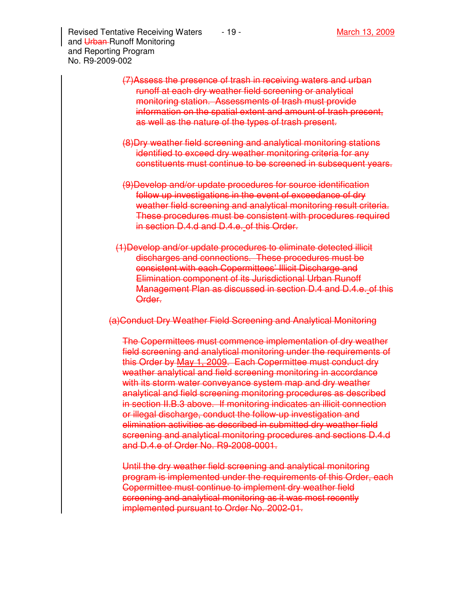Revised Tentative Receiving Waters  $\qquad 19 - \qquad \qquad$  March 13, 2009 and Urban-Runoff Monitoring and Reporting Program No. R9-2009-002

- (7)Assess the presence of trash in receiving waters and urban runoff at each dry weather field screening or analytical monitoring station. Assessments of trash must provide information on the spatial extent and amount of trash present, as well as the nature of the types of trash present.
- (8)Dry weather field screening and analytical monitoring stations identified to exceed dry weather monitoring criteria for any constituents must continue to be screened in subsequent years.
- (9)Develop and/or update procedures for source identification follow up investigations in the event of exceedance of dry weather field screening and analytical monitoring result criteria. These procedures must be consistent with procedures required in section D.4.d and D.4.e. of this Order.
- (1)Develop and/or update procedures to eliminate detected illicit discharges and connections. These procedures must be consistent with each Copermittees' Illicit Discharge and Elimination component of its Jurisdictional Urban Runoff Management Plan as discussed in section D.4 and D.4.e. of this Order.

(a)Conduct Dry Weather Field Screening and Analytical Monitoring

The Copermittees must commence implementation of dry weather field screening and analytical monitoring under the requirements of this Order by May 1, 2009. Each Copermittee must conduct dry weather analytical and field screening monitoring in accordance with its storm water conveyance system map and dry weather analytical and field screening monitoring procedures as described in section II.B.3 above. If monitoring indicates an illicit connection or illegal discharge, conduct the follow-up investigation and elimination activities as described in submitted dry weather field screening and analytical monitoring procedures and sections D.4.d and D.4.e of Order No. R9-2008-0001.

Until the dry weather field screening and analytical monitoring program is implemented under the requirements of this Order, each Copermittee must continue to implement dry weather field screening and analytical monitoring as it was most recently implemented pursuant to Order No. 2002-01.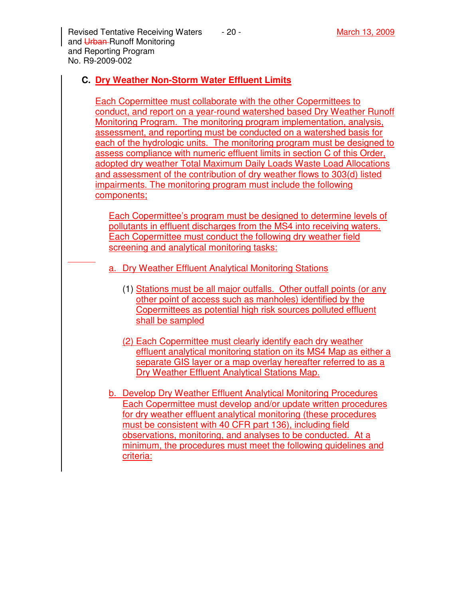Revised Tentative Receiving Waters  $\overline{a}$  - 20 - March 13, 2009 and Urban-Runoff Monitoring and Reporting Program No. R9-2009-002

# **C. Dry Weather Non-Storm Water Effluent Limits**

Each Copermittee must collaborate with the other Copermittees to conduct, and report on a year-round watershed based Dry Weather Runoff Monitoring Program. The monitoring program implementation, analysis, assessment, and reporting must be conducted on a watershed basis for each of the hydrologic units. The monitoring program must be designed to assess compliance with numeric effluent limits in section C of this Order, adopted dry weather Total Maximum Daily Loads Waste Load Allocations and assessment of the contribution of dry weather flows to 303(d) listed impairments. The monitoring program must include the following components;

Each Copermittee's program must be designed to determine levels of pollutants in effluent discharges from the MS4 into receiving waters. Each Copermittee must conduct the following dry weather field screening and analytical monitoring tasks:

- a. Dry Weather Effluent Analytical Monitoring Stations
	- (1) Stations must be all major outfalls. Other outfall points (or any other point of access such as manholes) identified by the Copermittees as potential high risk sources polluted effluent shall be sampled
	- (2) Each Copermittee must clearly identify each dry weather effluent analytical monitoring station on its MS4 Map as either a separate GIS layer or a map overlay hereafter referred to as a Dry Weather Effluent Analytical Stations Map.
- b. Develop Dry Weather Effluent Analytical Monitoring Procedures Each Copermittee must develop and/or update written procedures for dry weather effluent analytical monitoring (these procedures must be consistent with 40 CFR part 136), including field observations, monitoring, and analyses to be conducted. At a minimum, the procedures must meet the following guidelines and criteria: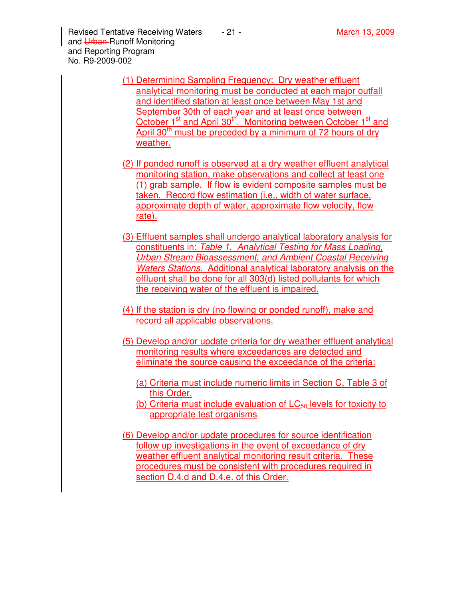Revised Tentative Receiving Waters  $\overline{a}$  - 21 - March 13, 2009 and Urban-Runoff Monitoring and Reporting Program No. R9-2009-002

- (1) Determining Sampling Frequency: Dry weather effluent analytical monitoring must be conducted at each major outfall and identified station at least once between May 1st and September 30th of each year and at least once between October 1<sup>st</sup> and April 30<sup>th</sup>. Monitoring between October 1<sup>st</sup> and April 30<sup>th</sup> must be preceded by a minimum of 72 hours of dry weather.
- (2) If ponded runoff is observed at a dry weather effluent analytical monitoring station, make observations and collect at least one (1) grab sample. If flow is evident composite samples must be taken. Record flow estimation (i.e., width of water surface. approximate depth of water, approximate flow velocity, flow rate).
- (3) Effluent samples shall undergo analytical laboratory analysis for constituents in: Table 1. Analytical Testing for Mass Loading, Urban Stream Bioassessment, and Ambient Coastal Receiving Waters Stations. Additional analytical laboratory analysis on the effluent shall be done for all 303(d) listed pollutants for which the receiving water of the effluent is impaired.
- (4) If the station is dry (no flowing or ponded runoff), make and record all applicable observations.
- (5) Develop and/or update criteria for dry weather effluent analytical monitoring results where exceedances are detected and eliminate the source causing the exceedance of the criteria:
	- (a) Criteria must include numeric limits in Section C, Table 3 of this Order.
	- (b) Criteria must include evaluation of  $LC_{50}$  levels for toxicity to appropriate test organisms
- (6) Develop and/or update procedures for source identification follow up investigations in the event of exceedance of dry weather effluent analytical monitoring result criteria. These procedures must be consistent with procedures required in section D.4.d and D.4.e. of this Order.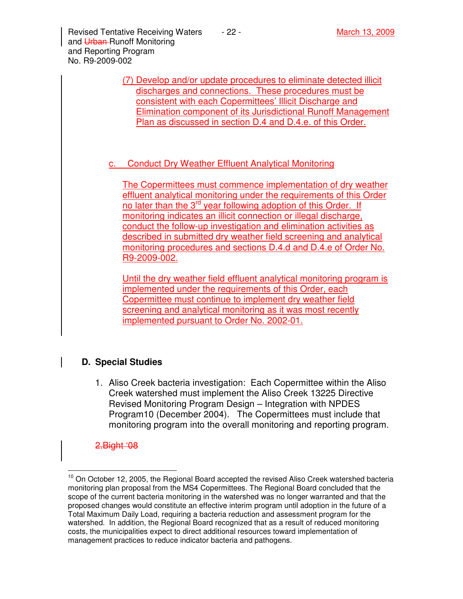Revised Tentative Receiving Waters  $\qquad 22 -$  March 13, 2009 and Urban-Runoff Monitoring and Reporting Program No. R9-2009-002

> (7) Develop and/or update procedures to eliminate detected illicit discharges and connections. These procedures must be consistent with each Copermittees' Illicit Discharge and Elimination component of its Jurisdictional Runoff Management Plan as discussed in section D.4 and D.4.e. of this Order.

## c. Conduct Dry Weather Effluent Analytical Monitoring

The Copermittees must commence implementation of dry weather effluent analytical monitoring under the requirements of this Order no later than the 3<sup>rd</sup> year following adoption of this Order. If monitoring indicates an illicit connection or illegal discharge, conduct the follow-up investigation and elimination activities as described in submitted dry weather field screening and analytical monitoring procedures and sections D.4.d and D.4.e of Order No. R9-2009-002.

Until the dry weather field effluent analytical monitoring program is implemented under the requirements of this Order, each Copermittee must continue to implement dry weather field screening and analytical monitoring as it was most recently implemented pursuant to Order No. 2002-01.

## **D. Special Studies**

1. Aliso Creek bacteria investigation: Each Copermittee within the Aliso Creek watershed must implement the Aliso Creek 13225 Directive Revised Monitoring Program Design – Integration with NPDES Program10 (December 2004). The Copermittees must include that monitoring program into the overall monitoring and reporting program.

#### 2.Bight '08

 $\overline{a}$ 

 $10$  On October 12, 2005, the Regional Board accepted the revised Aliso Creek watershed bacteria monitoring plan proposal from the MS4 Copermittees. The Regional Board concluded that the scope of the current bacteria monitoring in the watershed was no longer warranted and that the proposed changes would constitute an effective interim program until adoption in the future of a Total Maximum Daily Load, requiring a bacteria reduction and assessment program for the watershed. In addition, the Regional Board recognized that as a result of reduced monitoring costs, the municipalities expect to direct additional resources toward implementation of management practices to reduce indicator bacteria and pathogens.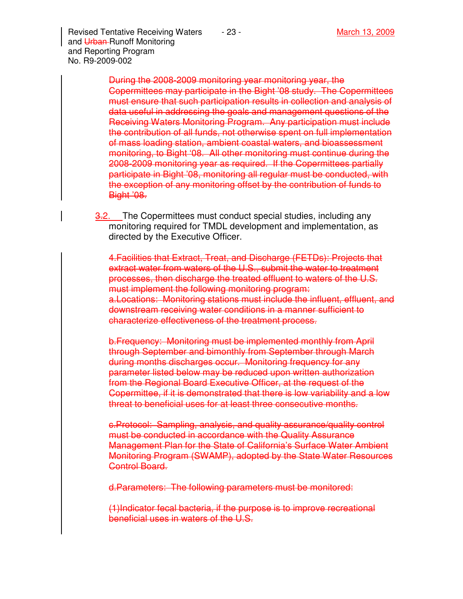Revised Tentative Receiving Waters  $\qquad 23 -$  March 13, 2009 and Urban-Runoff Monitoring and Reporting Program No. R9-2009-002

> During the 2008-2009 monitoring year monitoring year, the Copermittees may participate in the Bight '08 study. The Copermittees must ensure that such participation results in collection and analysis of data useful in addressing the goals and management questions of the Receiving Waters Monitoring Program. Any participation must include the contribution of all funds, not otherwise spent on full implementation of mass loading station, ambient coastal waters, and bioassessment monitoring, to Bight '08. All other monitoring must continue during the 2008-2009 monitoring year as required. If the Copermittees partially participate in Bight '08, monitoring all regular must be conducted, with the exception of any monitoring offset by the contribution of funds to **Bight '08.**

**3.2.** The Copermittees must conduct special studies, including any monitoring required for TMDL development and implementation, as directed by the Executive Officer.

4.Facilities that Extract, Treat, and Discharge (FETDs): Projects that extract water from waters of the U.S., submit the water to treatment processes, then discharge the treated effluent to waters of the U.S. must implement the following monitoring program: a.Locations: Monitoring stations must include the influent, effluent, and downstream receiving water conditions in a manner sufficient to characterize effectiveness of the treatment process.

b.Frequency: Monitoring must be implemented monthly from April through September and bimonthly from September through March during months discharges occur. Monitoring frequency for any parameter listed below may be reduced upon written authorization from the Regional Board Executive Officer, at the request of the Copermittee, if it is demonstrated that there is low variability and a low threat to beneficial uses for at least three consecutive months.

c.Protocol: Sampling, analysis, and quality assurance/quality control must be conducted in accordance with the Quality Assurance Management Plan for the State of California's Surface Water Ambient Monitoring Program (SWAMP), adopted by the State Water Resources Control Board.

d.Parameters: The following parameters must be monitored:

(1)Indicator fecal bacteria, if the purpose is to improve recreational beneficial uses in waters of the U.S.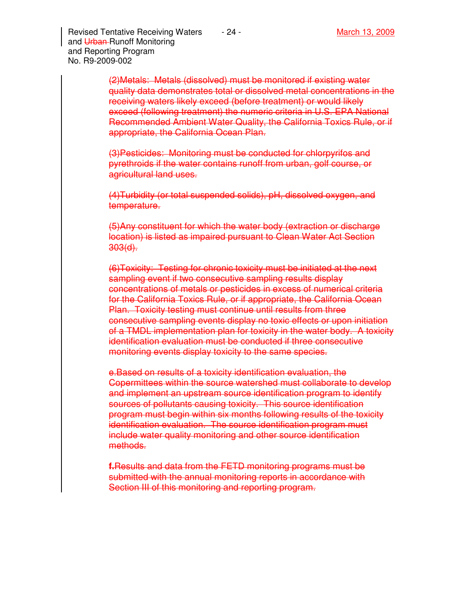Revised Tentative Receiving Waters  $\overline{a}$  - 24 - March 13, 2009 and Urban-Runoff Monitoring and Reporting Program No. R9-2009-002

> (2)Metals: Metals (dissolved) must be monitored if existing water quality data demonstrates total or dissolved metal concentrations in the receiving waters likely exceed (before treatment) or would likely exceed (following treatment) the numeric criteria in U.S. EPA National Recommended Ambient Water Quality, the California Toxics Rule, or if appropriate, the California Ocean Plan.

(3)Pesticides: Monitoring must be conducted for chlorpyrifos and pyrethroids if the water contains runoff from urban, golf course, or agricultural land uses.

(4)Turbidity (or total suspended solids), pH, dissolved oxygen, and temperature.

(5)Any constituent for which the water body (extraction or discharge location) is listed as impaired pursuant to Clean Water Act Section 303(d).

(6)Toxicity: Testing for chronic toxicity must be initiated at the next sampling event if two consecutive sampling results display concentrations of metals or pesticides in excess of numerical criteria for the California Toxics Rule, or if appropriate, the California Ocean Plan. Toxicity testing must continue until results from three consecutive sampling events display no toxic effects or upon initiation of a TMDL implementation plan for toxicity in the water body. A toxicity identification evaluation must be conducted if three consecutive monitoring events display toxicity to the same species.

e.Based on results of a toxicity identification evaluation, the Copermittees within the source watershed must collaborate to develop and implement an upstream source identification program to identify sources of pollutants causing toxicity. This source identification program must begin within six months following results of the toxicity identification evaluation. The source identification program must include water quality monitoring and other source identification methods.

**f.**Results and data from the FETD monitoring programs must be submitted with the annual monitoring reports in accordance with Section III of this monitoring and reporting program.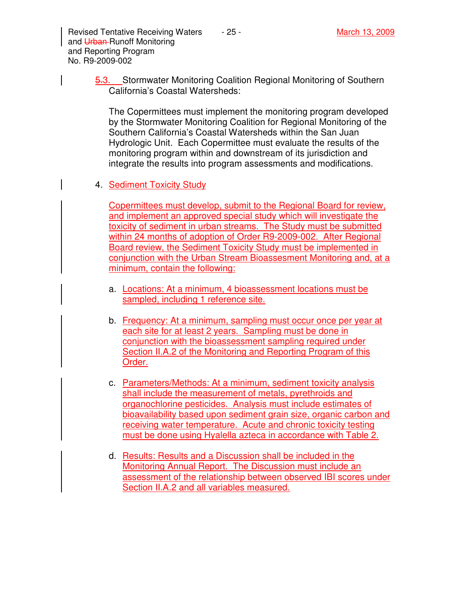Revised Tentative Receiving Waters  $\overline{a}$  - 25 - March 13, 2009 and Urban-Runoff Monitoring and Reporting Program No. R9-2009-002

5.3. Stormwater Monitoring Coalition Regional Monitoring of Southern California's Coastal Watersheds:

The Copermittees must implement the monitoring program developed by the Stormwater Monitoring Coalition for Regional Monitoring of the Southern California's Coastal Watersheds within the San Juan Hydrologic Unit. Each Copermittee must evaluate the results of the monitoring program within and downstream of its jurisdiction and integrate the results into program assessments and modifications.

4. Sediment Toxicity Study

Copermittees must develop, submit to the Regional Board for review, and implement an approved special study which will investigate the toxicity of sediment in urban streams. The Study must be submitted within 24 months of adoption of Order R9-2009-002. After Regional Board review, the Sediment Toxicity Study must be implemented in conjunction with the Urban Stream Bioassesment Monitoring and, at a minimum, contain the following:

- a. Locations: At a minimum, 4 bioassessment locations must be sampled, including 1 reference site.
- b. Frequency: At a minimum, sampling must occur once per year at each site for at least 2 years. Sampling must be done in conjunction with the bioassessment sampling required under Section II.A.2 of the Monitoring and Reporting Program of this Order.
- c. Parameters/Methods: At a minimum, sediment toxicity analysis shall include the measurement of metals, pyrethroids and organochlorine pesticides. Analysis must include estimates of bioavailability based upon sediment grain size, organic carbon and receiving water temperature. Acute and chronic toxicity testing must be done using Hyalella azteca in accordance with Table 2.
- d. Results: Results and a Discussion shall be included in the Monitoring Annual Report. The Discussion must include an assessment of the relationship between observed IBI scores under Section II.A.2 and all variables measured.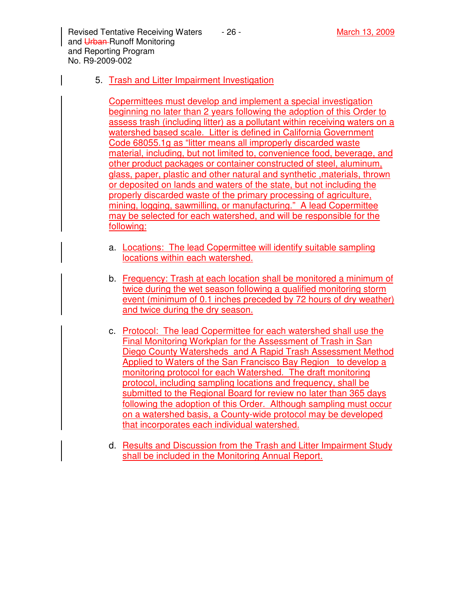Revised Tentative Receiving Waters  $\overline{a}$  - 26 - March 13, 2009 and Urban-Runoff Monitoring and Reporting Program No. R9-2009-002

### 5. Trash and Litter Impairment Investigation

Copermittees must develop and implement a special investigation beginning no later than 2 years following the adoption of this Order to assess trash (including litter) as a pollutant within receiving waters on a watershed based scale. Litter is defined in California Government Code 68055.1g as "litter means all improperly discarded waste material, including, but not limited to, convenience food, beverage, and other product packages or container constructed of steel, aluminum, glass, paper, plastic and other natural and synthetic ,materials, thrown or deposited on lands and waters of the state, but not including the properly discarded waste of the primary processing of agriculture, mining, logging, sawmilling, or manufacturing." A lead Copermittee may be selected for each watershed, and will be responsible for the following:

- a. Locations: The lead Copermittee will identify suitable sampling locations within each watershed.
- b. Frequency: Trash at each location shall be monitored a minimum of twice during the wet season following a qualified monitoring storm event (minimum of 0.1 inches preceded by 72 hours of dry weather) and twice during the dry season.
- c. Protocol: The lead Copermittee for each watershed shall use the Final Monitoring Workplan for the Assessment of Trash in San Diego County Watersheds and A Rapid Trash Assessment Method Applied to Waters of the San Francisco Bay Region to develop a monitoring protocol for each Watershed. The draft monitoring protocol, including sampling locations and frequency, shall be submitted to the Regional Board for review no later than 365 days following the adoption of this Order. Although sampling must occur on a watershed basis, a County-wide protocol may be developed that incorporates each individual watershed.
- d. Results and Discussion from the Trash and Litter Impairment Study shall be included in the Monitoring Annual Report.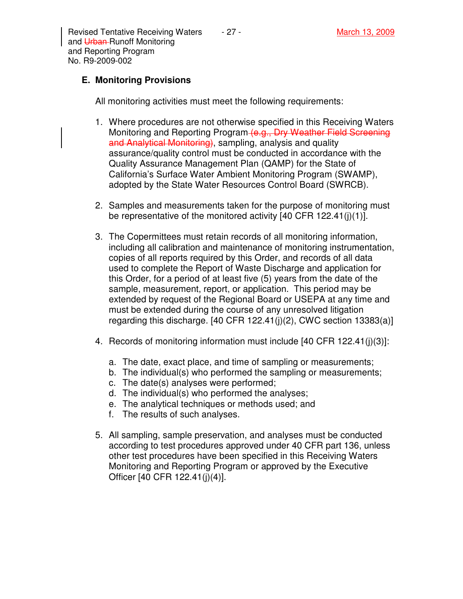Revised Tentative Receiving Waters  $\overline{a}$  - 27 - March 13, 2009 and Urban-Runoff Monitoring and Reporting Program No. R9-2009-002

# **E. Monitoring Provisions**

All monitoring activities must meet the following requirements:

- 1. Where procedures are not otherwise specified in this Receiving Waters Monitoring and Reporting Program (e.g., Dry Weather Field Screening and Analytical Monitoring), sampling, analysis and quality assurance/quality control must be conducted in accordance with the Quality Assurance Management Plan (QAMP) for the State of California's Surface Water Ambient Monitoring Program (SWAMP), adopted by the State Water Resources Control Board (SWRCB).
- 2. Samples and measurements taken for the purpose of monitoring must be representative of the monitored activity [40 CFR 122.41(j)(1)].
- 3. The Copermittees must retain records of all monitoring information, including all calibration and maintenance of monitoring instrumentation, copies of all reports required by this Order, and records of all data used to complete the Report of Waste Discharge and application for this Order, for a period of at least five (5) years from the date of the sample, measurement, report, or application. This period may be extended by request of the Regional Board or USEPA at any time and must be extended during the course of any unresolved litigation regarding this discharge.  $[40 \text{ CFR } 122.41(j)(2), \text{ CWC section } 13383(a)]$
- 4. Records of monitoring information must include [40 CFR 122.41(j)(3)]:
	- a. The date, exact place, and time of sampling or measurements;
	- b. The individual(s) who performed the sampling or measurements;
	- c. The date(s) analyses were performed;
	- d. The individual(s) who performed the analyses;
	- e. The analytical techniques or methods used; and
	- f. The results of such analyses.
- 5. All sampling, sample preservation, and analyses must be conducted according to test procedures approved under 40 CFR part 136, unless other test procedures have been specified in this Receiving Waters Monitoring and Reporting Program or approved by the Executive Officer [40 CFR 122.41(j)(4)].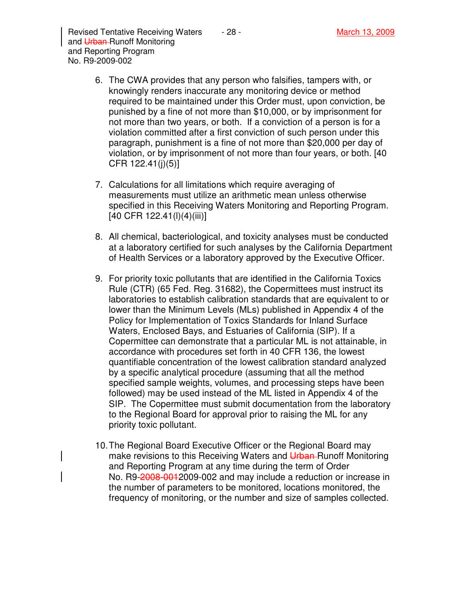Revised Tentative Receiving Waters  $\overline{a}$  - 28 - March 13, 2009 and Urban-Runoff Monitoring and Reporting Program No. R9-2009-002

- 6. The CWA provides that any person who falsifies, tampers with, or knowingly renders inaccurate any monitoring device or method required to be maintained under this Order must, upon conviction, be punished by a fine of not more than \$10,000, or by imprisonment for not more than two years, or both. If a conviction of a person is for a violation committed after a first conviction of such person under this paragraph, punishment is a fine of not more than \$20,000 per day of violation, or by imprisonment of not more than four years, or both. [40 CFR 122.41(j)(5)]
- 7. Calculations for all limitations which require averaging of measurements must utilize an arithmetic mean unless otherwise specified in this Receiving Waters Monitoring and Reporting Program. [40 CFR 122.41(l)(4)(iii)]
- 8. All chemical, bacteriological, and toxicity analyses must be conducted at a laboratory certified for such analyses by the California Department of Health Services or a laboratory approved by the Executive Officer.
- 9. For priority toxic pollutants that are identified in the California Toxics Rule (CTR) (65 Fed. Reg. 31682), the Copermittees must instruct its laboratories to establish calibration standards that are equivalent to or lower than the Minimum Levels (MLs) published in Appendix 4 of the Policy for Implementation of Toxics Standards for Inland Surface Waters, Enclosed Bays, and Estuaries of California (SIP). If a Copermittee can demonstrate that a particular ML is not attainable, in accordance with procedures set forth in 40 CFR 136, the lowest quantifiable concentration of the lowest calibration standard analyzed by a specific analytical procedure (assuming that all the method specified sample weights, volumes, and processing steps have been followed) may be used instead of the ML listed in Appendix 4 of the SIP. The Copermittee must submit documentation from the laboratory to the Regional Board for approval prior to raising the ML for any priority toxic pollutant.
- 10. The Regional Board Executive Officer or the Regional Board may make revisions to this Receiving Waters and Urban-Runoff Monitoring and Reporting Program at any time during the term of Order No. R9-2008-0012009-002 and may include a reduction or increase in the number of parameters to be monitored, locations monitored, the frequency of monitoring, or the number and size of samples collected.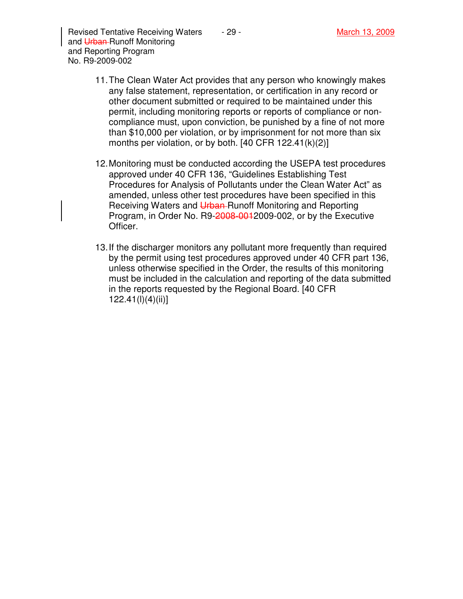Revised Tentative Receiving Waters  $\overline{a}$  - 29 - March 13, 2009 and Urban-Runoff Monitoring and Reporting Program No. R9-2009-002

- 11. The Clean Water Act provides that any person who knowingly makes any false statement, representation, or certification in any record or other document submitted or required to be maintained under this permit, including monitoring reports or reports of compliance or noncompliance must, upon conviction, be punished by a fine of not more than \$10,000 per violation, or by imprisonment for not more than six months per violation, or by both. [40 CFR 122.41(k)(2)]
- 12. Monitoring must be conducted according the USEPA test procedures approved under 40 CFR 136, "Guidelines Establishing Test Procedures for Analysis of Pollutants under the Clean Water Act" as amended, unless other test procedures have been specified in this Receiving Waters and Urban-Runoff Monitoring and Reporting Program, in Order No. R9-2008-001-2009-002, or by the Executive Officer.
- 13. If the discharger monitors any pollutant more frequently than required by the permit using test procedures approved under 40 CFR part 136, unless otherwise specified in the Order, the results of this monitoring must be included in the calculation and reporting of the data submitted in the reports requested by the Regional Board. [40 CFR 122.41(l)(4)(ii)]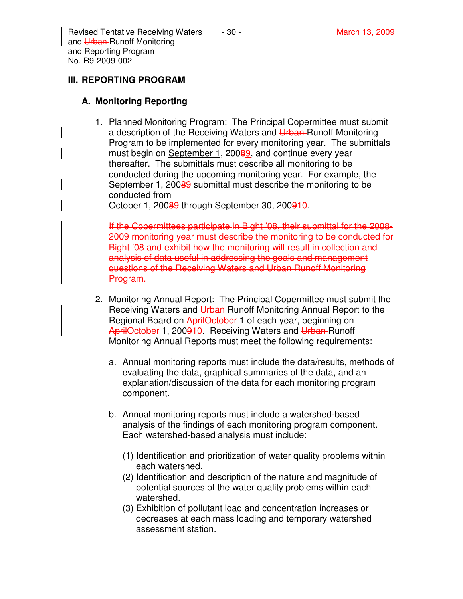Revised Tentative Receiving Waters  $\qquad 30 -$  March 13, 2009 and Urban-Runoff Monitoring and Reporting Program No. R9-2009-002

# **III. REPORTING PROGRAM**

## **A. Monitoring Reporting**

1. Planned Monitoring Program: The Principal Copermittee must submit a description of the Receiving Waters and Urban-Runoff Monitoring Program to be implemented for every monitoring year. The submittals must begin on September 1, 20089, and continue every year thereafter. The submittals must describe all monitoring to be conducted during the upcoming monitoring year. For example, the September 1, 20089 submittal must describe the monitoring to be conducted from

October 1, 20089 through September 30, 200910.

If the Copermittees participate in Bight '08, their submittal for the 2008- 2009 monitoring year must describe the monitoring to be conducted for Bight '08 and exhibit how the monitoring will result in collection and analysis of data useful in addressing the goals and management questions of the Receiving Waters and Urban Runoff Monitoring Program.

- 2. Monitoring Annual Report: The Principal Copermittee must submit the Receiving Waters and Urban-Runoff Monitoring Annual Report to the Regional Board on AprilOctober 1 of each year, beginning on AprilOctober 1, 200910. Receiving Waters and Urban-Runoff Monitoring Annual Reports must meet the following requirements:
	- a. Annual monitoring reports must include the data/results, methods of evaluating the data, graphical summaries of the data, and an explanation/discussion of the data for each monitoring program component.
	- b. Annual monitoring reports must include a watershed-based analysis of the findings of each monitoring program component. Each watershed-based analysis must include:
		- (1) Identification and prioritization of water quality problems within each watershed.
		- (2) Identification and description of the nature and magnitude of potential sources of the water quality problems within each watershed.
		- (3) Exhibition of pollutant load and concentration increases or decreases at each mass loading and temporary watershed assessment station.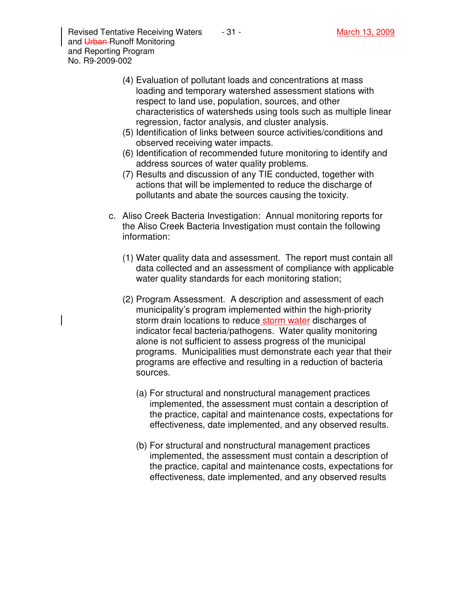Revised Tentative Receiving Waters  $\overline{a}$  - 31 - March 13, 2009 and Urban-Runoff Monitoring and Reporting Program No. R9-2009-002

- (4) Evaluation of pollutant loads and concentrations at mass loading and temporary watershed assessment stations with respect to land use, population, sources, and other characteristics of watersheds using tools such as multiple linear regression, factor analysis, and cluster analysis.
- (5) Identification of links between source activities/conditions and observed receiving water impacts.
- (6) Identification of recommended future monitoring to identify and address sources of water quality problems.
- (7) Results and discussion of any TIE conducted, together with actions that will be implemented to reduce the discharge of pollutants and abate the sources causing the toxicity.
- c. Aliso Creek Bacteria Investigation: Annual monitoring reports for the Aliso Creek Bacteria Investigation must contain the following information:
	- (1) Water quality data and assessment. The report must contain all data collected and an assessment of compliance with applicable water quality standards for each monitoring station;
	- (2) Program Assessment. A description and assessment of each municipality's program implemented within the high-priority storm drain locations to reduce storm water discharges of indicator fecal bacteria/pathogens. Water quality monitoring alone is not sufficient to assess progress of the municipal programs. Municipalities must demonstrate each year that their programs are effective and resulting in a reduction of bacteria sources.
		- (a) For structural and nonstructural management practices implemented, the assessment must contain a description of the practice, capital and maintenance costs, expectations for effectiveness, date implemented, and any observed results.
		- (b) For structural and nonstructural management practices implemented, the assessment must contain a description of the practice, capital and maintenance costs, expectations for effectiveness, date implemented, and any observed results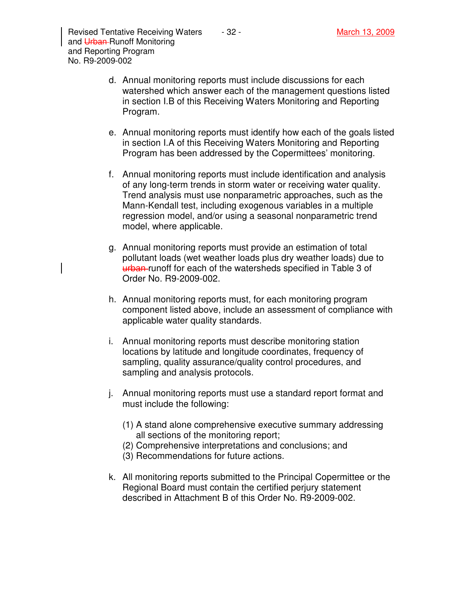- e. Annual monitoring reports must identify how each of the goals listed in section I.A of this Receiving Waters Monitoring and Reporting Program has been addressed by the Copermittees' monitoring.
- f. Annual monitoring reports must include identification and analysis of any long-term trends in storm water or receiving water quality. Trend analysis must use nonparametric approaches, such as the Mann-Kendall test, including exogenous variables in a multiple regression model, and/or using a seasonal nonparametric trend model, where applicable.
- g. Annual monitoring reports must provide an estimation of total pollutant loads (wet weather loads plus dry weather loads) due to urban-runoff for each of the watersheds specified in Table 3 of Order No. R9-2009-002.
- h. Annual monitoring reports must, for each monitoring program component listed above, include an assessment of compliance with applicable water quality standards.
- i. Annual monitoring reports must describe monitoring station locations by latitude and longitude coordinates, frequency of sampling, quality assurance/quality control procedures, and sampling and analysis protocols.
- j. Annual monitoring reports must use a standard report format and must include the following:
	- (1) A stand alone comprehensive executive summary addressing all sections of the monitoring report;
	- (2) Comprehensive interpretations and conclusions; and
	- (3) Recommendations for future actions.
- k. All monitoring reports submitted to the Principal Copermittee or the Regional Board must contain the certified perjury statement described in Attachment B of this Order No. R9-2009-002.